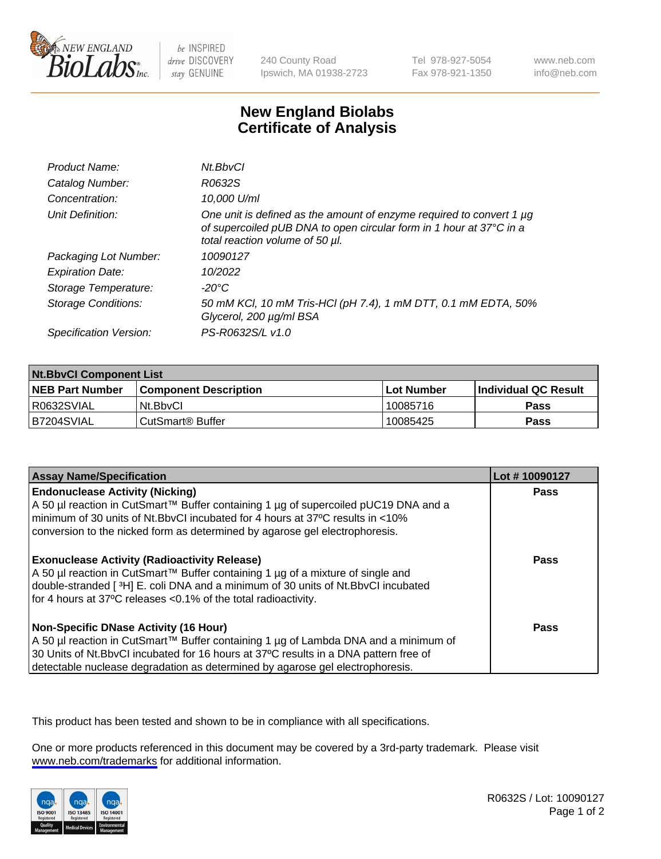

be INSPIRED drive DISCOVERY stay GENUINE

240 County Road Ipswich, MA 01938-2723 Tel 978-927-5054 Fax 978-921-1350

www.neb.com info@neb.com

## **New England Biolabs Certificate of Analysis**

| Product Name:              | Nt.BbvCl                                                                                                                                                                       |
|----------------------------|--------------------------------------------------------------------------------------------------------------------------------------------------------------------------------|
| Catalog Number:            | R0632S                                                                                                                                                                         |
| Concentration:             | 10,000 U/ml                                                                                                                                                                    |
| Unit Definition:           | One unit is defined as the amount of enzyme required to convert 1 µg<br>of supercoiled pUB DNA to open circular form in 1 hour at 37°C in a<br>total reaction volume of 50 µl. |
| Packaging Lot Number:      | 10090127                                                                                                                                                                       |
| <b>Expiration Date:</b>    | 10/2022                                                                                                                                                                        |
| Storage Temperature:       | $-20^{\circ}$ C                                                                                                                                                                |
| <b>Storage Conditions:</b> | 50 mM KCl, 10 mM Tris-HCl (pH 7.4), 1 mM DTT, 0.1 mM EDTA, 50%<br>Glycerol, 200 µg/ml BSA                                                                                      |
| Specification Version:     | PS-R0632S/L v1.0                                                                                                                                                               |

| <b>Nt.BbvCl Component List</b> |                         |              |                             |  |
|--------------------------------|-------------------------|--------------|-----------------------------|--|
| <b>NEB Part Number</b>         | l Component Description | l Lot Number | <b>Individual QC Result</b> |  |
| I R0632SVIAL                   | Nt.BbvCl                | 10085716     | <b>Pass</b>                 |  |
| IB7204SVIAL                    | l CutSmart® Buffer      | 10085425     | <b>Pass</b>                 |  |

| <b>Assay Name/Specification</b>                                                                                                                                                                                                                                                                                | Lot #10090127 |
|----------------------------------------------------------------------------------------------------------------------------------------------------------------------------------------------------------------------------------------------------------------------------------------------------------------|---------------|
| <b>Endonuclease Activity (Nicking)</b><br>  A 50 µl reaction in CutSmart™ Buffer containing 1 µg of supercoiled pUC19 DNA and a<br>I minimum of 30 units of Nt.BbvCI incubated for 4 hours at 37°C results in <10%<br>conversion to the nicked form as determined by agarose gel electrophoresis.              | Pass          |
| <b>Exonuclease Activity (Radioactivity Release)</b><br>  A 50 µl reaction in CutSmart™ Buffer containing 1 µg of a mixture of single and<br>double-stranded [3H] E. coli DNA and a minimum of 30 units of Nt.BbvCl incubated<br>for 4 hours at 37°C releases <0.1% of the total radioactivity.                 | Pass          |
| <b>Non-Specific DNase Activity (16 Hour)</b><br>  A 50 µl reaction in CutSmart™ Buffer containing 1 µg of Lambda DNA and a minimum of<br>30 Units of Nt.BbvCl incubated for 16 hours at 37°C results in a DNA pattern free of<br>detectable nuclease degradation as determined by agarose gel electrophoresis. | Pass          |

This product has been tested and shown to be in compliance with all specifications.

One or more products referenced in this document may be covered by a 3rd-party trademark. Please visit <www.neb.com/trademarks>for additional information.